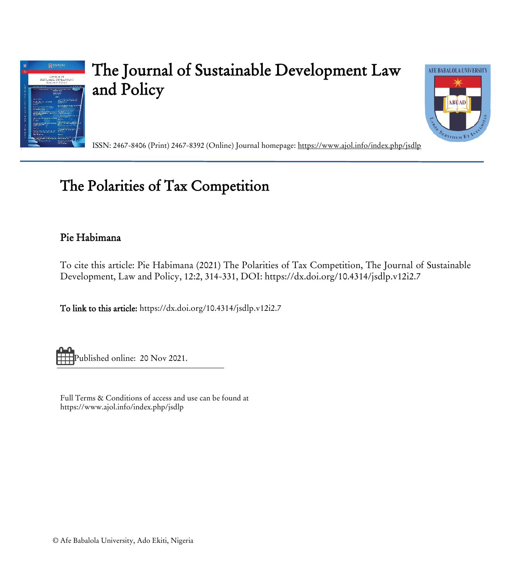

# The Journal of Sustainable Development Law and Policy



ISSN: 2467-8406 (Print) 2467-8392 (Online) Journal homepage:<https://www.ajol.info/index.php/jsdlp>

## The Polarities of Tax Competition

### Pie Habimana

To cite this article: Pie Habimana (2021) The Polarities of Tax Competition, The Journal of Sustainable Development, Law and Policy, 12:2, 314-331, DOI: https://dx.doi.org/10.4314/jsdlp.v12i2.7

To link to this article[: https://dx.doi.org/10.4314/jsdlp.v12i2.7](https://dx.doi.org/10.4314/jsdlp.v12i2.7) 

Published online: 20 Nov 2021.

Full Terms & Conditions of access and use can be found at https://www.ajol.info/index.php/jsdlp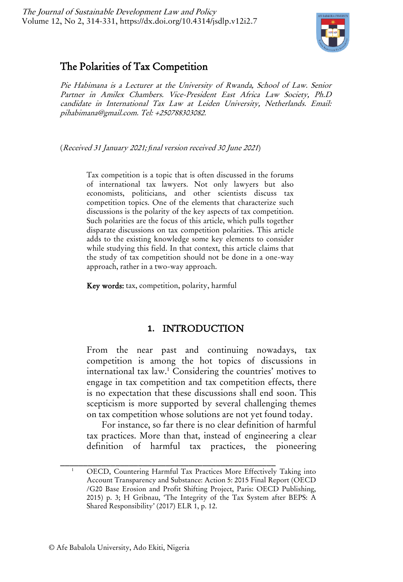

## The Polarities of Tax Competition

Pie Habimana is a Lecturer at the University of Rwanda, School of Law. Senior Partner in Amilex Chambers. Vice-President East Africa Law Society, Ph.D candidate in International Tax Law at Leiden University, Netherlands. Email: pihabimana@gmail.com. Tel: +250788303082.

(Received 31 January 2021; *fi*nal version received 30 June <sup>2021</sup>)

Tax competition is a topic that is often discussed in the forums of international tax lawyers. Not only lawyers but also economists, politicians, and other scientists discuss tax competition topics. One of the elements that characterize such discussions is the polarity of the key aspects of tax competition. Such polarities are the focus of this article, which pulls together disparate discussions on tax competition polarities. This article adds to the existing knowledge some key elements to consider while studying this field. In that context, this article claims that the study of tax competition should not be done in a one-way approach, rather in a two-way approach.

Key words: tax, competition, polarity, harmful

#### <span id="page-1-0"></span>**1.** INTRODUCTION

From the near past and continuing nowadays, tax competition is among the hot topics of discussions in international tax law.<sup>1</sup> Considering the countries' motives to engage in tax competition and tax competition effects, there is no expectation that these discussions shall end soon. This scepticism is more supported by several challenging themes on tax competition whose solutions are not yet found today.

For instance, so far there is no clear definition of harmful tax practices. More than that, instead of engineering a clear definition of harmful tax practices, the pioneering

<sup>&</sup>lt;sup>1</sup> OECD, Countering Harmful Tax Practices More Effectively Taking into Account Transparency and Substance: Action 5: 2015 Final Report (OECD /G20 Base Erosion and Profit Shifting Project, Paris: OECD Publishing, 2015) p. 3; H Gribnau, 'The Integrity of the Tax System after BEPS: A Shared Responsibility' (2017) ELR 1, p. 12.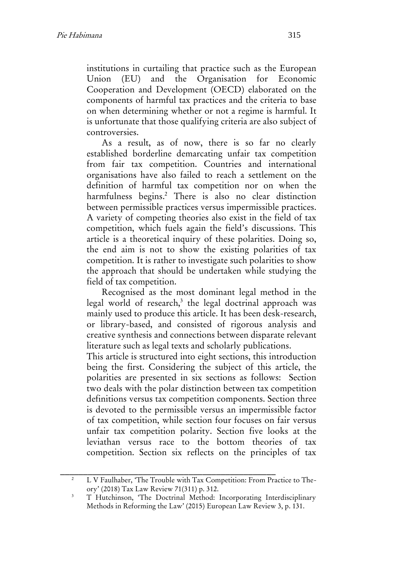institutions in curtailing that practice such as the European Union (EU) and the Organisation for Economic Cooperation and Development (OECD) elaborated on the components of harmful tax practices and the criteria to base on when determining whether or not a regime is harmful. It is unfortunate that those qualifying criteria are also subject of controversies.

<span id="page-2-0"></span>As a result, as of now, there is so far no clearly established borderline demarcating unfair tax competition from fair tax competition. Countries and international organisations have also failed to reach a settlement on the definition of harmful tax competition nor on when the harmfulness begins.<sup>2</sup> There is also no clear distinction between permissible practices versus impermissible practices. A variety of competing theories also exist in the field of tax competition, which fuels again the field's discussions. This article is a theoretical inquiry of these polarities. Doing so, the end aim is not to show the existing polarities of tax competition. It is rather to investigate such polarities to show the approach that should be undertaken while studying the field of tax competition.

Recognised as the most dominant legal method in the legal world of research,<sup>3</sup> the legal doctrinal approach was mainly used to produce this article. It has been desk-research, or library-based, and consisted of rigorous analysis and creative synthesis and connections between disparate relevant literature such as legal texts and scholarly publications.

This article is structured into eight sections, this introduction being the first. Considering the subject of this article, the polarities are presented in six sections as follows: Section two deals with the polar distinction between tax competition definitions versus tax competition components. Section three is devoted to the permissible versus an impermissible factor of tax competition, while section four focuses on fair versus unfair tax competition polarity. Section five looks at the leviathan versus race to the bottom theories of tax competition. Section six reflects on the principles of tax

\_\_\_\_\_\_\_\_\_\_\_\_\_\_\_\_\_\_\_\_\_\_\_\_\_\_\_\_\_\_\_\_\_\_\_\_\_\_\_\_\_\_\_\_\_\_\_ <sup>2</sup> L V Faulhaber, 'The Trouble with Tax Competition: From Practice to Theory' (2018) Tax Law Review 71(311) p. 312.

<sup>3</sup> T Hutchinson, 'The Doctrinal Method: Incorporating Interdisciplinary Methods in Reforming the Law' (2015) European Law Review 3, p. 131.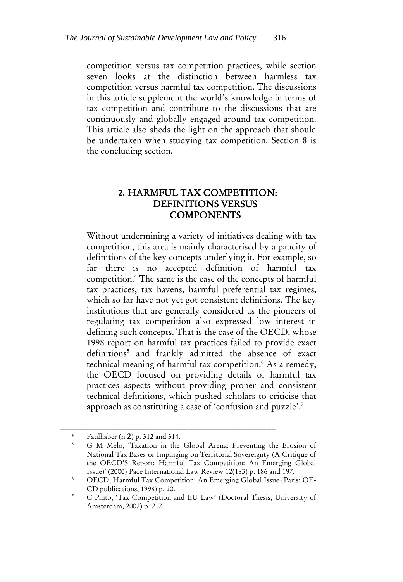competition versus tax competition practices, while section seven looks at the distinction between harmless tax competition versus harmful tax competition. The discussions in this article supplement the world's knowledge in terms of tax competition and contribute to the discussions that are continuously and globally engaged around tax competition. This article also sheds the light on the approach that should be undertaken when studying tax competition. Section 8 is the concluding section.

#### **2.** HARMFUL TAX COMPETITION: DEFINITIONS VERSUS **COMPONENTS**

Without undermining a variety of initiatives dealing with tax competition, this area is mainly characterised by a paucity of definitions of the key concepts underlying it. For example, so far there is no accepted definition of harmful tax competition.<sup>4</sup> The same is the case of the concepts of harmful tax practices, tax havens, harmful preferential tax regimes, which so far have not yet got consistent definitions. The key institutions that are generally considered as the pioneers of regulating tax competition also expressed low interest in defining such concepts. That is the case of the OECD, whose 1998 report on harmful tax practices failed to provide exact definitions<sup>5</sup> and frankly admitted the absence of exact technical meaning of harmful tax competition.<sup>6</sup> As a remedy, the OECD focused on providing details of harmful tax practices aspects without providing proper and consistent technical definitions, which pushed scholars to criticise that approach as constituting a case of 'confusion and puzzle'.<sup>7</sup>

<span id="page-3-1"></span><span id="page-3-0"></span><sup>4</sup> Faulhaber (n [2](#page-2-0)) p. 312 and 314.

<sup>5</sup> G M Melo, 'Taxation in the Global Arena: Preventing the Erosion of National Tax Bases or Impinging on Territorial Sovereignty (A Critique of the OECD'S Report: Harmful Tax Competition: An Emerging Global Issue)' (2000) Pace International Law Review 12(183) p. 186 and 197.

<sup>6</sup> OECD, Harmful Tax Competition: An Emerging Global Issue (Paris: OE-CD publications, 1998) p. 20.

<sup>7</sup> C Pinto, 'Tax Competition and EU Law' (Doctoral Thesis, University of Amsterdam, 2002) p. 217.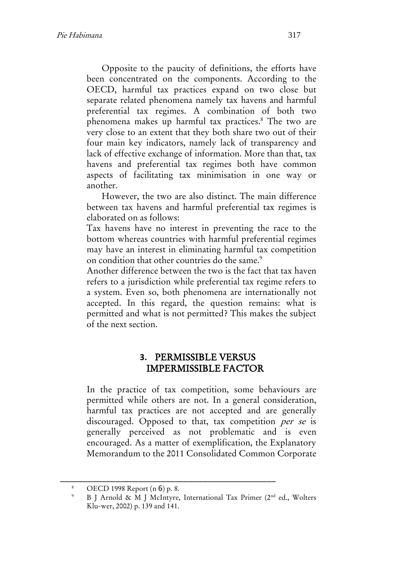Opposite to the paucity of definitions, the efforts have been concentrated on the components. According to the OECD, harmful tax practices expand on two close but separate related phenomena namely tax havens and harmful preferential tax regimes. A combination of both two phenomena makes up harmful tax practices.<sup>8</sup> The two are very close to an extent that they both share two out of their four main key indicators, namely lack of transparency and lack of effective exchange of information. More than that, tax havens and preferential tax regimes both have common aspects of facilitating tax minimisation in one way or another.

However, the two are also distinct. The main difference between tax havens and harmful preferential tax regimes is elaborated on as follows:

Tax havens have no interest in preventing the race to the bottom whereas countries with harmful preferential regimes may have an interest in eliminating harmful tax competition on condition that other countries do the same.<sup>9</sup>

Another difference between the two is the fact that tax haven refers to a jurisdiction while preferential tax regime refers to a system. Even so, both phenomena are internationally not accepted. In this regard, the question remains: what is permitted and what is not permitted? This makes the subject of the next section.

#### **3.** PERMISSIBLE VERSUS IMPERMISSIBLE FACTOR

In the practice of tax competition, some behaviours are permitted while others are not. In a general consideration, harmful tax practices are not accepted and are generally discouraged. Opposed to that, tax competition per se is generally perceived as not problematic and is even encouraged. As a matter of exemplification, the Explanatory Memorandum to the 2011 Consolidated Common Corporate

OECD 1998 Report (n [6](#page-3-0)) p. 8.

<sup>9</sup> B J Arnold & M J McIntyre, International Tax Primer (2nd ed., Wolters Klu-wer, 2002) p. 139 and 141.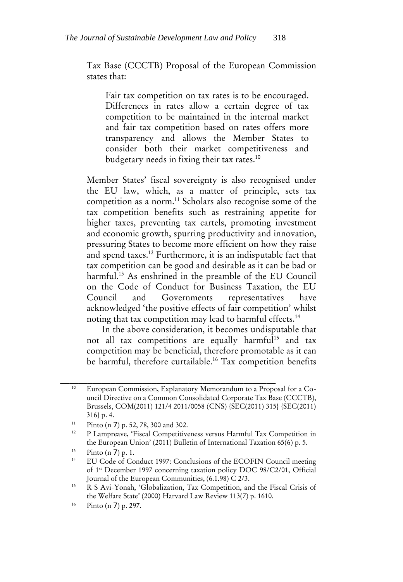Tax Base (CCCTB) Proposal of the European Commission states that:

Fair tax competition on tax rates is to be encouraged. Differences in rates allow a certain degree of tax competition to be maintained in the internal market and fair tax competition based on rates offers more transparency and allows the Member States to consider both their market competitiveness and budgetary needs in fixing their tax rates.<sup>10</sup>

<span id="page-5-0"></span>Member States' fiscal sovereignty is also recognised under the EU law, which, as a matter of principle, sets tax competition as a norm.<sup>11</sup> Scholars also recognise some of the tax competition benefits such as restraining appetite for higher taxes, preventing tax cartels, promoting investment and economic growth, spurring productivity and innovation, pressuring States to become more efficient on how they raise and spend taxes.<sup>12</sup> Furthermore, it is an indisputable fact that tax competition can be good and desirable as it can be bad or harmful.<sup>13</sup> As enshrined in the preamble of the EU Council on the Code of Conduct for Business Taxation, the EU Council and Governments representatives have acknowledged 'the positive effects of fair competition' whilst noting that tax competition may lead to harmful effects.<sup>14</sup>

<span id="page-5-1"></span>In the above consideration, it becomes undisputable that not all tax competitions are equally harmful<sup>15</sup> and tax competition may be beneficial, therefore promotable as it can be harmful, therefore curtailable.<sup>16</sup> Tax competition benefits

<sup>10</sup> European Commission, Explanatory Memorandum to a Proposal for a Council Directive on a Common Consolidated Corporate Tax Base (CCCTB), Brussels, COM(2011) 121/4 2011/0058 (CNS) {SEC(2011) 315} {SEC(2011) 316} p. 4.

<sup>11</sup> Pinto (n [7](#page-3-1)) p. 52, 78, 300 and 302.

<sup>&</sup>lt;sup>12</sup> P Lampreave, 'Fiscal Competitiveness versus Harmful Tax Competition in the European Union' (2011) Bulletin of International Taxation 65(6) p. 5.

 $13$  Pinto (n [7](#page-3-1)) p. 1.

<sup>14</sup> EU Code of Conduct 1997: Conclusions of the ECOFIN Council meeting of 1st December 1997 concerning taxation policy DOC 98/C2/01, Official Journal of the European Communities, (6.1.98) C 2/3.

<sup>15</sup> R S Avi-Yonah, 'Globalization, Tax Competition, and the Fiscal Crisis of the Welfare State' (2000) Harvard Law Review 113(7) p. 1610.

<sup>16</sup> Pinto (n [7](#page-3-1)) p. 297.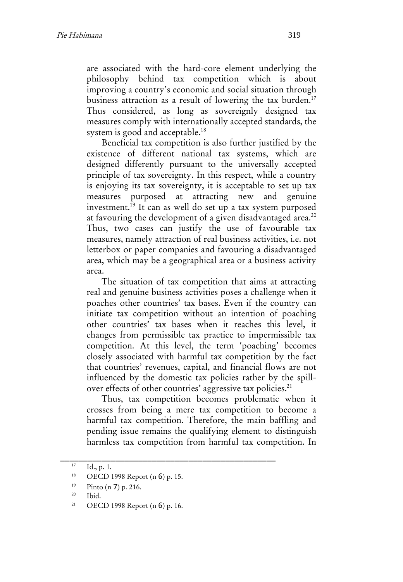are associated with the hard-core element underlying the philosophy behind tax competition which is about improving a country's economic and social situation through business attraction as a result of lowering the tax burden.<sup>17</sup> Thus considered, as long as sovereignly designed tax measures comply with internationally accepted standards, the system is good and acceptable.<sup>18</sup>

Beneficial tax competition is also further justified by the existence of different national tax systems, which are designed differently pursuant to the universally accepted principle of tax sovereignty. In this respect, while a country is enjoying its tax sovereignty, it is acceptable to set up tax measures purposed at attracting new and genuine investment.<sup>19</sup> It can as well do set up a tax system purposed at favouring the development of a given disadvantaged area.<sup>20</sup> Thus, two cases can justify the use of favourable tax measures, namely attraction of real business activities, i.e. not letterbox or paper companies and favouring a disadvantaged area, which may be a geographical area or a business activity area.

The situation of tax competition that aims at attracting real and genuine business activities poses a challenge when it poaches other countries' tax bases. Even if the country can initiate tax competition without an intention of poaching other countries' tax bases when it reaches this level, it changes from permissible tax practice to impermissible tax competition. At this level, the term 'poaching' becomes closely associated with harmful tax competition by the fact that countries' revenues, capital, and financial flows are not influenced by the domestic tax policies rather by the spillover effects of other countries' aggressive tax policies.<sup>21</sup>

Thus, tax competition becomes problematic when it crosses from being a mere tax competition to become a harmful tax competition. Therefore, the main baffling and pending issue remains the qualifying element to distinguish harmless tax competition from harmful tax competition. In

 $17$  Id., p. 1.

<sup>18</sup> OECD 1998 Report (n [6](#page-3-0)) p. 15.

<sup>19</sup> Pinto (n [7](#page-3-1)) p. 216.

<sup>20</sup> Ibid.

<sup>21</sup> OECD 1998 Report (n [6](#page-3-0)) p. 16.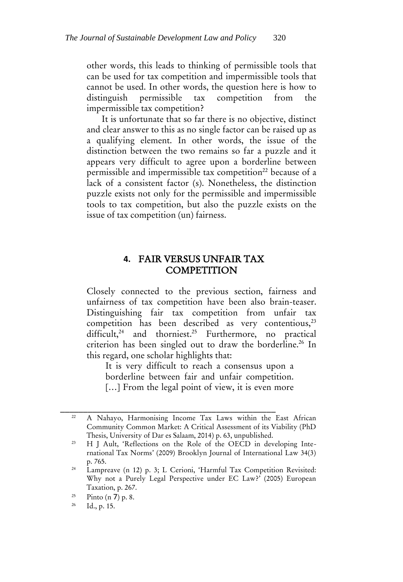other words, this leads to thinking of permissible tools that can be used for tax competition and impermissible tools that cannot be used. In other words, the question here is how to distinguish permissible tax competition from the impermissible tax competition?

It is unfortunate that so far there is no objective, distinct and clear answer to this as no single factor can be raised up as a qualifying element. In other words, the issue of the distinction between the two remains so far a puzzle and it appears very difficult to agree upon a borderline between permissible and impermissible tax competition<sup>22</sup> because of a lack of a consistent factor (s). Nonetheless, the distinction puzzle exists not only for the permissible and impermissible tools to tax competition, but also the puzzle exists on the issue of tax competition (un) fairness.

#### <span id="page-7-0"></span>**4.** FAIR VERSUS UNFAIR TAX **COMPETITION**

Closely connected to the previous section, fairness and unfairness of tax competition have been also brain-teaser. Distinguishing fair tax competition from unfair tax competition has been described as very contentious, $2<sup>3</sup>$ difficult,<sup>24</sup> and thorniest.<sup>25</sup> Furthermore, no practical criterion has been singled out to draw the borderline.<sup>26</sup> In this regard, one scholar highlights that:

It is very difficult to reach a consensus upon a borderline between fair and unfair competition. [...] From the legal point of view, it is even more

<sup>22</sup> A Nahayo, Harmonising Income Tax Laws within the East African Community Common Market: A Critical Assessment of its Viability (PhD Thesis, University of Dar es Salaam, 2014) p. 63, unpublished.

<sup>&</sup>lt;sup>23</sup> H J Ault, 'Reflections on the Role of the OECD in developing International Tax Norms' (2009) Brooklyn Journal of International Law 34(3) p. 765.

<sup>&</sup>lt;sup>24</sup> Lampreave (n [12](#page-5-0)) p. 3; L Cerioni, 'Harmful Tax Competition Revisited: Why not a Purely Legal Perspective under EC Law?' (2005) European Taxation, p. 267.

 $\frac{25}{26}$  Pinto (n [7](#page-3-1)) p. 8.

Id., p. 15.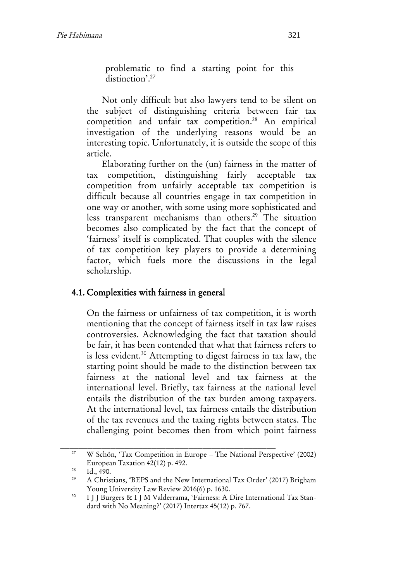problematic to find a starting point for this distinction'.<sup>27</sup>

Not only difficult but also lawyers tend to be silent on the subject of distinguishing criteria between fair tax competition and unfair tax competition.<sup>28</sup> An empirical investigation of the underlying reasons would be an interesting topic. Unfortunately, it is outside the scope of this article.

Elaborating further on the (un) fairness in the matter of tax competition, distinguishing fairly acceptable tax competition from unfairly acceptable tax competition is difficult because all countries engage in tax competition in one way or another, with some using more sophisticated and less transparent mechanisms than others.<sup>29</sup> The situation becomes also complicated by the fact that the concept of 'fairness' itself is complicated. That couples with the silence of tax competition key players to provide a determining factor, which fuels more the discussions in the legal scholarship.

#### 4.1. Complexities with fairness in general

On the fairness or unfairness of tax competition, it is worth mentioning that the concept of fairness itself in tax law raises controversies. Acknowledging the fact that taxation should be fair, it has been contended that what that fairness refers to is less evident.<sup>30</sup> Attempting to digest fairness in tax law, the starting point should be made to the distinction between tax fairness at the national level and tax fairness at the international level. Briefly, tax fairness at the national level entails the distribution of the tax burden among taxpayers. At the international level, tax fairness entails the distribution of the tax revenues and the taxing rights between states. The challenging point becomes then from which point fairness

<sup>&</sup>lt;sup>27</sup> W Schön, 'Tax Competition in Europe – The National Perspective' (2002) European Taxation 42(12) p. 492.

 $28$  Id., 490.

<sup>29</sup> A Christians, 'BEPS and the New International Tax Order' (2017) Brigham Young University Law Review 2016(6) p. 1630.

<sup>&</sup>lt;sup>30</sup> I J J Burgers & I J M Valderrama, 'Fairness: A Dire International Tax Standard with No Meaning?' (2017) Intertax 45(12) p. 767.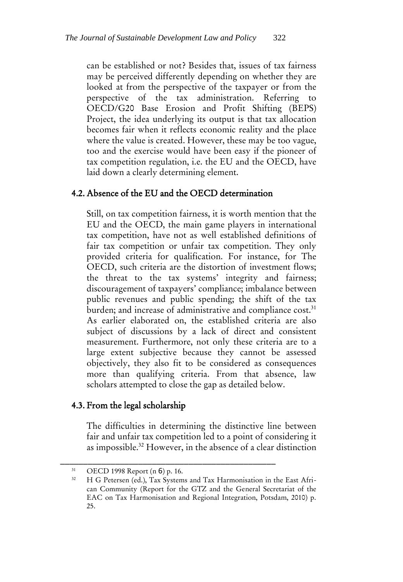can be established or not? Besides that, issues of tax fairness may be perceived differently depending on whether they are looked at from the perspective of the taxpayer or from the perspective of the tax administration. Referring to OECD/G20 Base Erosion and Profit Shifting (BEPS) Project, the idea underlying its output is that tax allocation becomes fair when it reflects economic reality and the place where the value is created. However, these may be too vague, too and the exercise would have been easy if the pioneer of tax competition regulation, i.e. the EU and the OECD, have laid down a clearly determining element.

#### 4.2. Absence of the EU and the OECD determination

Still, on tax competition fairness, it is worth mention that the EU and the OECD, the main game players in international tax competition, have not as well established definitions of fair tax competition or unfair tax competition. They only provided criteria for qualification. For instance, for The OECD, such criteria are the distortion of investment flows; the threat to the tax systems' integrity and fairness; discouragement of taxpayers' compliance; imbalance between public revenues and public spending; the shift of the tax burden; and increase of administrative and compliance cost.<sup>31</sup> As earlier elaborated on, the established criteria are also subject of discussions by a lack of direct and consistent measurement. Furthermore, not only these criteria are to a large extent subjective because they cannot be assessed objectively, they also fit to be considered as consequences more than qualifying criteria. From that absence, law scholars attempted to close the gap as detailed below.

#### 4.3. From the legal scholarship

<span id="page-9-0"></span>The difficulties in determining the distinctive line between fair and unfair tax competition led to a point of considering it as impossible.<sup>32</sup> However, in the absence of a clear distinction

<sup>31</sup> OECD 1998 Report (n [6](#page-3-0)) p. 16.

<sup>32</sup> H G Petersen (ed.), Tax Systems and Tax Harmonisation in the East African Community (Report for the GTZ and the General Secretariat of the EAC on Tax Harmonisation and Regional Integration, Potsdam, 2010) p. 25.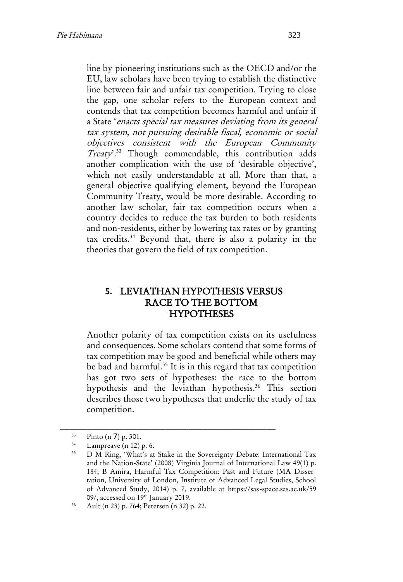line by pioneering institutions such as the OECD and/or the EU, law scholars have been trying to establish the distinctive line between fair and unfair tax competition. Trying to close the gap, one scholar refers to the European context and contends that tax competition becomes harmful and unfair if a State 'enacts special tax measures deviating from its general tax system, not pursuing desirable fiscal, economic or social objectives consistent with the European Community Treaty'.<sup>33</sup> Though commendable, this contribution adds another complication with the use of 'desirable objective', which not easily understandable at all. More than that, a general objective qualifying element, beyond the European Community Treaty, would be more desirable. According to another law scholar, fair tax competition occurs when a country decides to reduce the tax burden to both residents and non-residents, either by lowering tax rates or by granting tax credits.<sup>34</sup> Beyond that, there is also a polarity in the theories that govern the field of tax competition.

#### **5.** LEVIATHAN HYPOTHESIS VERSUS RACE TO THE BOTTOM **HYPOTHESES**

Another polarity of tax competition exists on its usefulness and consequences. Some scholars contend that some forms of tax competition may be good and beneficial while others may be bad and harmful.<sup>35</sup> It is in this regard that tax competition has got two sets of hypotheses: the race to the bottom hypothesis and the leviathan hypothesis.<sup>36</sup> This section describes those two hypotheses that underlie the study of tax competition.

 $33$  Pinto (n [7](#page-3-1)) p. 301.

 $\frac{34}{35}$  Lampreave ([n 12\)](#page-5-0) p. 6.

<sup>35</sup> D M Ring, 'What's at Stake in the Sovereignty Debate: International Tax and the Nation-State' (2008) Virginia Journal of International Law 49(1) p. 184; B Amira, Harmful Tax Competition: Past and Future (MA Dissertation, University of London, Institute of Advanced Legal Studies, School of Advanced Study, 2014) p. 7, available at https://sas-space.sas.ac.uk/59 09/, accessed on 19<sup>th</sup> January 2019.

<sup>36</sup> Ault (n [23\)](#page-7-0) p. 764; Petersen (n [32\)](#page-9-0) p. 22.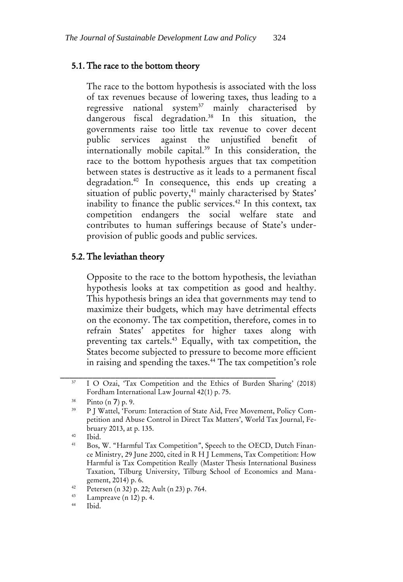#### 5.1. The race to the bottom theory

The race to the bottom hypothesis is associated with the loss of tax revenues because of lowering taxes, thus leading to a regressive national system<sup>37</sup> mainly characterised by dangerous fiscal degradation.<sup>38</sup> In this situation, the governments raise too little tax revenue to cover decent public services against the unjustified benefit of internationally mobile capital.<sup>39</sup> In this consideration, the race to the bottom hypothesis argues that tax competition between states is destructive as it leads to a permanent fiscal degradation.<sup>40</sup> In consequence, this ends up creating a situation of public poverty,<sup>41</sup> mainly characterised by States' inability to finance the public services.<sup>42</sup> In this context, tax competition endangers the social welfare state and contributes to human sufferings because of State's underprovision of public goods and public services.

#### 5.2. The leviathan theory

Opposite to the race to the bottom hypothesis, the leviathan hypothesis looks at tax competition as good and healthy. This hypothesis brings an idea that governments may tend to maximize their budgets, which may have detrimental effects on the economy. The tax competition, therefore, comes in to refrain States' appetites for higher taxes along with preventing tax cartels.<sup>43</sup> Equally, with tax competition, the States become subjected to pressure to become more efficient in raising and spending the taxes.<sup>44</sup> The tax competition's role

\_\_\_\_\_\_\_\_\_\_\_\_\_\_\_\_\_\_\_\_\_\_\_\_\_\_\_\_\_\_\_\_\_\_\_\_\_\_\_\_\_\_\_\_\_\_\_ <sup>37</sup> I O Ozai, 'Tax Competition and the Ethics of Burden Sharing' (2018) Fordham International Law Journal 42(1) p. 75.

 $rac{38}{39}$  Pinto (n [7](#page-3-1)) p. 9.<br>D I Wattal For

<sup>39</sup> P J Wattel, 'Forum: Interaction of State Aid, Free Movement, Policy Competition and Abuse Control in Direct Tax Matters', World Tax Journal, February 2013, at p. 135.

 $\frac{40}{41}$  Ibid.

Bos, W. "Harmful Tax Competition", Speech to the OECD, Dutch Finance Ministry, 29 June 2000, cited in R H J Lemmens, Tax Competition: How Harmful is Tax Competition Really (Master Thesis International Business Taxation, Tilburg University, Tilburg School of Economics and Management, 2014) p. 6.

<sup>&</sup>lt;sup>42</sup> Petersen ([n 32\)](#page-9-0) p. 22; Ault ([n 23\)](#page-7-0) p. 764.

 $\frac{43}{14}$  Lampreave ([n 12\)](#page-5-0) p. 4.

Ibid.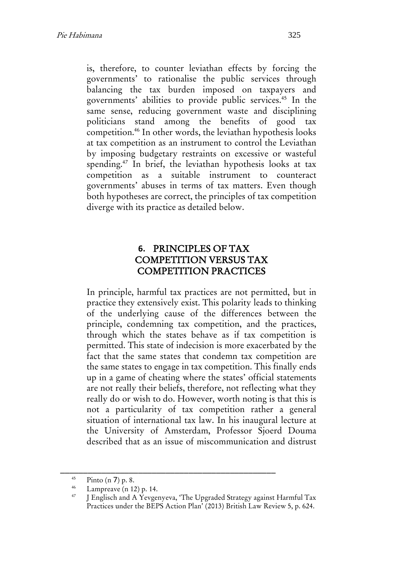is, therefore, to counter leviathan effects by forcing the governments' to rationalise the public services through balancing the tax burden imposed on taxpayers and governments' abilities to provide public services.<sup>45</sup> In the same sense, reducing government waste and disciplining politicians stand among the benefits of good tax competition.<sup>46</sup> In other words, the leviathan hypothesis looks at tax competition as an instrument to control the Leviathan by imposing budgetary restraints on excessive or wasteful spending.<sup>47</sup> In brief, the leviathan hypothesis looks at tax competition as a suitable instrument to counteract governments' abuses in terms of tax matters. Even though both hypotheses are correct, the principles of tax competition diverge with its practice as detailed below.

#### **6.** PRINCIPLES OF TAX COMPETITION VERSUS TAX COMPETITION PRACTICES

In principle, harmful tax practices are not permitted, but in practice they extensively exist. This polarity leads to thinking of the underlying cause of the differences between the principle, condemning tax competition, and the practices, through which the states behave as if tax competition is permitted. This state of indecision is more exacerbated by the fact that the same states that condemn tax competition are the same states to engage in tax competition. This finally ends up in a game of cheating where the states' official statements are not really their beliefs, therefore, not reflecting what they really do or wish to do. However, worth noting is that this is not a particularity of tax competition rather a general situation of international tax law. In his inaugural lecture at the University of Amsterdam, Professor Sjoerd Douma described that as an issue of miscommunication and distrust

 $^{45}$  Pinto (n [7](#page-3-1)) p. 8.

 $\frac{46}{47}$  Lampreave ([n 12\)](#page-5-0) p. 14.

<sup>47</sup> J Englisch and A Yevgenyeva, 'The Upgraded Strategy against Harmful Tax Practices under the BEPS Action Plan' (2013) British Law Review 5, p. 624.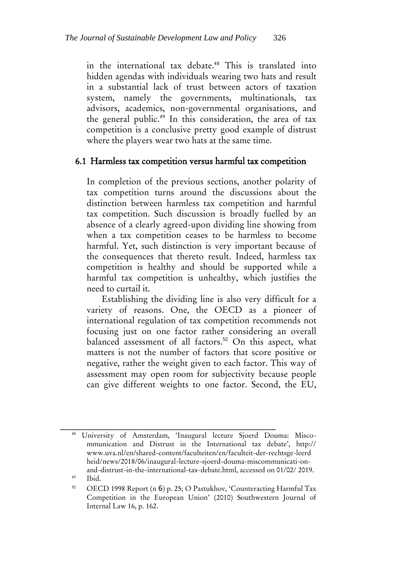in the international tax debate.<sup>48</sup> This is translated into hidden agendas with individuals wearing two hats and result in a substantial lack of trust between actors of taxation system, namely the governments, multinationals, tax advisors, academics, non-governmental organisations, and the general public.<sup>49</sup> In this consideration, the area of tax competition is a conclusive pretty good example of distrust where the players wear two hats at the same time.

#### 6.1 Harmless tax competition versus harmful tax competition

In completion of the previous sections, another polarity of tax competition turns around the discussions about the distinction between harmless tax competition and harmful tax competition. Such discussion is broadly fuelled by an absence of a clearly agreed-upon dividing line showing from when a tax competition ceases to be harmless to become harmful. Yet, such distinction is very important because of the consequences that thereto result. Indeed, harmless tax competition is healthy and should be supported while a harmful tax competition is unhealthy, which justifies the need to curtail it.

Establishing the dividing line is also very difficult for a variety of reasons. One, the OECD as a pioneer of international regulation of tax competition recommends not focusing just on one factor rather considering an overall balanced assessment of all factors.<sup>50</sup> On this aspect, what matters is not the number of factors that score positive or negative, rather the weight given to each factor. This way of assessment may open room for subjectivity because people can give different weights to one factor. Second, the EU,

\_\_\_\_\_\_\_\_\_\_\_\_\_\_\_\_\_\_\_\_\_\_\_\_\_\_\_\_\_\_\_\_\_\_\_\_\_\_\_\_\_\_\_\_\_\_\_ <sup>48</sup> University of Amsterdam, 'Inaugural lecture Sjoerd Douma: Miscommunication and Distrust in the International tax debate', http:// www.uva.nl/en/shared-content/faculteiten/en/faculteit-der-rechtsge-leerd heid/news/2018/06/inaugural-lecture-sjoerd-douma-miscommunicati-onand-distrust-in-the-international-tax-debate.html, accessed on 01/02/ 2019.

<sup>49</sup> Ibid.

<sup>50</sup> OECD 1998 Report (n [6](#page-3-0)) p. 25; O Pastukhov, 'Counteracting Harmful Tax Competition in the European Union' (2010) Southwestern Journal of Internal Law 16, p. 162.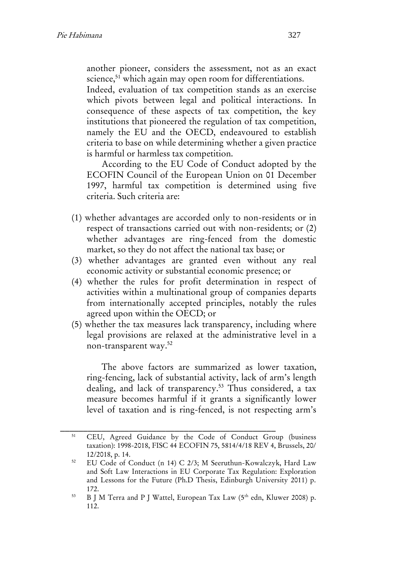another pioneer, considers the assessment, not as an exact science,<sup>51</sup> which again may open room for differentiations.

Indeed, evaluation of tax competition stands as an exercise which pivots between legal and political interactions. In consequence of these aspects of tax competition, the key institutions that pioneered the regulation of tax competition, namely the EU and the OECD, endeavoured to establish criteria to base on while determining whether a given practice is harmful or harmless tax competition.

According to the EU Code of Conduct adopted by the ECOFIN Council of the European Union on 01 December 1997, harmful tax competition is determined using five criteria. Such criteria are:

- (1) whether advantages are accorded only to non-residents or in respect of transactions carried out with non-residents; or (2) whether advantages are ring-fenced from the domestic market, so they do not affect the national tax base; or
- (3) whether advantages are granted even without any real economic activity or substantial economic presence; or
- (4) whether the rules for profit determination in respect of activities within a multinational group of companies departs from internationally accepted principles, notably the rules agreed upon within the OECD; or
- (5) whether the tax measures lack transparency, including where legal provisions are relaxed at the administrative level in a non-transparent way.<sup>52</sup>

<span id="page-14-0"></span>The above factors are summarized as lower taxation, ring-fencing, lack of substantial activity, lack of arm's length dealing, and lack of transparency.<sup>53</sup> Thus considered, a tax measure becomes harmful if it grants a significantly lower level of taxation and is ring-fenced, is not respecting arm's

<sup>51</sup> CEU, Agreed Guidance by the Code of Conduct Group (business taxation): 1998-2018, FISC 44 ECOFIN 75, 5814/4/18 REV 4, Brussels, 20/ 12/2018, p. 14.

<sup>52</sup> EU Code of Conduct (n [14\)](#page-5-1) C 2/3; M Seeruthun-Kowalczyk, Hard Law and Soft Law Interactions in EU Corporate Tax Regulation: Exploration and Lessons for the Future (Ph.D Thesis, Edinburgh University 2011) p. 172.

<sup>&</sup>lt;sup>53</sup> B J M Terra and P J Wattel, European Tax Law (5<sup>th</sup> edn, Kluwer 2008) p. 112.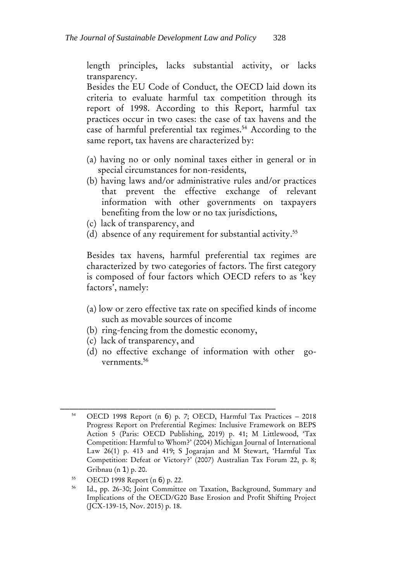length principles, lacks substantial activity, or lacks transparency.

Besides the EU Code of Conduct, the OECD laid down its criteria to evaluate harmful tax competition through its report of 1998. According to this Report, harmful tax practices occur in two cases: the case of tax havens and the case of harmful preferential tax regimes.<sup>54</sup> According to the same report, tax havens are characterized by:

- <span id="page-15-1"></span>(a) having no or only nominal taxes either in general or in special circumstances for non-residents,
- (b) having laws and/or administrative rules and/or practices that prevent the effective exchange of relevant information with other governments on taxpayers benefiting from the low or no tax jurisdictions,
- (c) lack of transparency, and
- (d) absence of any requirement for substantial activity.<sup>55</sup>

Besides tax havens, harmful preferential tax regimes are characterized by two categories of factors. The first category is composed of four factors which OECD refers to as 'key factors', namely:

- (a) low or zero effective tax rate on specified kinds of income such as movable sources of income
- (b) ring-fencing from the domestic economy,

- (c) lack of transparency, and
- <span id="page-15-0"></span>(d) no effective exchange of information with other governments.<sup>56</sup>

<sup>54</sup> OECD 1998 Report (n [6](#page-3-0)) p. 7; OECD, Harmful Tax Practices – 2018 Progress Report on Preferential Regimes: Inclusive Framework on BEPS Action 5 (Paris: OECD Publishing, 2019) p. 41; M Littlewood, 'Tax Competition: Harmful to Whom?' (2004) Michigan Journal of International Law 26(1) p. 413 and 419; S Jogarajan and M Stewart, 'Harmful Tax Competition: Defeat or Victory?' (2007) Australian Tax Forum 22, p. 8; Gribnau (n [1](#page-1-0)) p. 20.

<sup>55</sup> OECD 1998 Report (n [6](#page-3-0)) p. 22.

Id., pp. 26-30; Joint Committee on Taxation, Background, Summary and Implications of the OECD/G20 Base Erosion and Profit Shifting Project (JCX-139-15, Nov. 2015) p. 18.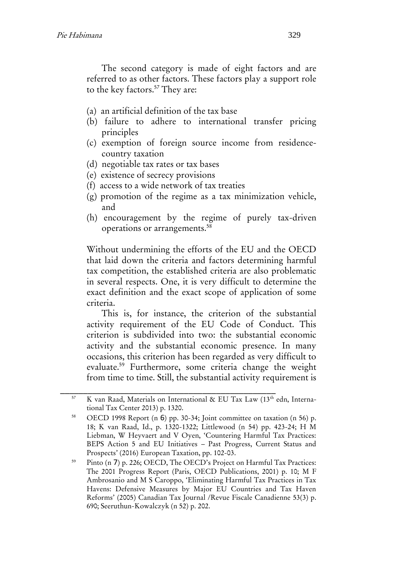The second category is made of eight factors and are referred to as other factors. These factors play a support role to the key factors.<sup>57</sup> They are:

- (a) an artificial definition of the tax base
- (b) failure to adhere to international transfer pricing principles
- (c) exemption of foreign source income from residencecountry taxation
- (d) negotiable tax rates or tax bases
- (e) existence of secrecy provisions
- (f) access to a wide network of tax treaties
- (g) promotion of the regime as a tax minimization vehicle, and
- (h) encouragement by the regime of purely tax-driven operations or arrangements.<sup>58</sup>

Without undermining the efforts of the EU and the OECD that laid down the criteria and factors determining harmful tax competition, the established criteria are also problematic in several respects. One, it is very difficult to determine the exact definition and the exact scope of application of some criteria.

This is, for instance, the criterion of the substantial activity requirement of the EU Code of Conduct. This criterion is subdivided into two: the substantial economic activity and the substantial economic presence. In many occasions, this criterion has been regarded as very difficult to evaluate.<sup>59</sup> Furthermore, some criteria change the weight from time to time. Still, the substantial activity requirement is

<span id="page-16-0"></span>K van Raad, Materials on International & EU Tax Law (13<sup>th</sup> edn, International Tax Center 2013) p. 1320.

<sup>58</sup> OECD 1998 Report (n [6](#page-3-0)) pp. 30-34; Joint committee on taxation (n [56\)](#page-15-0) p. 18; K van Raad, Id., p. 1320-1322; Littlewood (n [54\)](#page-15-1) pp. 423-24; H M Liebman, W Heyvaert and V Oyen, 'Countering Harmful Tax Practices: BEPS Action 5 and EU Initiatives – Past Progress, Current Status and Prospects' (2016) European Taxation, pp. 102-03.

<sup>59</sup> Pinto (n [7](#page-3-1)) p. 226; OECD, The OECD's Project on Harmful Tax Practices: The 2001 Progress Report (Paris, OECD Publications, 2001) p. 10; M F Ambrosanio and M S Caroppo, 'Eliminating Harmful Tax Practices in Tax Havens: Defensive Measures by Major EU Countries and Tax Haven Reforms' (2005) Canadian Tax Journal /Revue Fiscale Canadienne 53(3) p. 690; Seeruthun-Kowalczyk (n [52\)](#page-14-0) p. 202.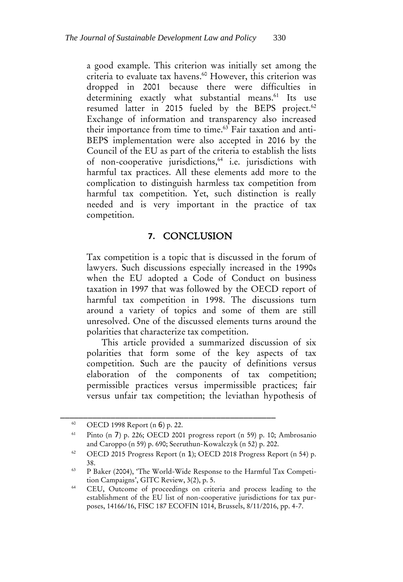a good example. This criterion was initially set among the criteria to evaluate tax havens.<sup>60</sup> However, this criterion was dropped in 2001 because there were difficulties in determining exactly what substantial means.<sup>61</sup> Its use resumed latter in 2015 fueled by the BEPS project.<sup>62</sup> Exchange of information and transparency also increased their importance from time to time.<sup>63</sup> Fair taxation and anti-BEPS implementation were also accepted in 2016 by the Council of the EU as part of the criteria to establish the lists of non-cooperative jurisdictions,<sup>64</sup> i.e. jurisdictions with harmful tax practices. All these elements add more to the complication to distinguish harmless tax competition from harmful tax competition. Yet, such distinction is really needed and is very important in the practice of tax competition.

#### **7.** CONCLUSION

Tax competition is a topic that is discussed in the forum of lawyers. Such discussions especially increased in the 1990s when the EU adopted a Code of Conduct on business taxation in 1997 that was followed by the OECD report of harmful tax competition in 1998. The discussions turn around a variety of topics and some of them are still unresolved. One of the discussed elements turns around the polarities that characterize tax competition.

This article provided a summarized discussion of six polarities that form some of the key aspects of tax competition. Such are the paucity of definitions versus elaboration of the components of tax competition; permissible practices versus impermissible practices; fair versus unfair tax competition; the leviathan hypothesis of

<sup>60</sup> OECD 1998 Report (n [6](#page-3-0)) p. 22.

<sup>61</sup> Pinto (n [7](#page-3-1)) p. 226; OECD 2001 progress report (n [59\)](#page-16-0) p. 10; Ambrosanio and Caroppo ([n 59\)](#page-16-0) p. 690; Seeruthun-Kowalczyk ([n 52\)](#page-14-0) p. 202.

<sup>62</sup> OECD 2015 Progress Report (n [1](#page-1-0)); OECD 2018 Progress Report (n [54\)](#page-15-1) p. 38.

<sup>63</sup> P Baker (2004), 'The World-Wide Response to the Harmful Tax Competition Campaigns', GITC Review, 3(2), p. 5.

<sup>&</sup>lt;sup>64</sup> CEU, Outcome of proceedings on criteria and process leading to the establishment of the EU list of non-cooperative jurisdictions for tax purposes, 14166/16, FISC 187 ECOFIN 1014, Brussels, 8/11/2016, pp. 4-7.